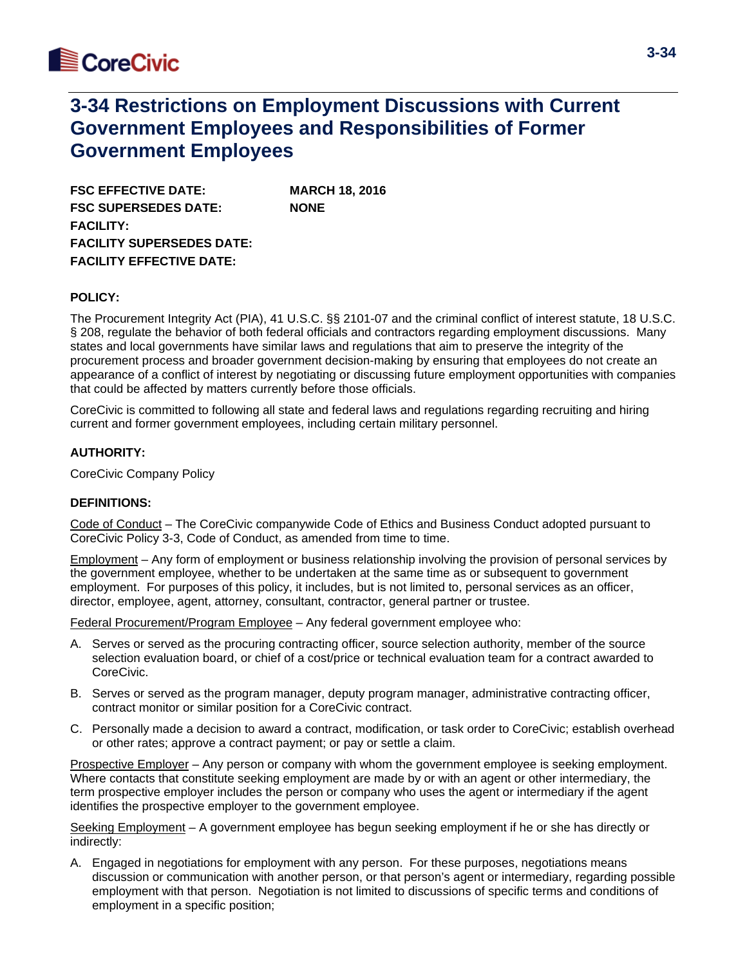

**FSC EFFECTIVE DATE: MARCH 18, 2016 FSC SUPERSEDES DATE: NONE FACILITY: FACILITY SUPERSEDES DATE: FACILITY EFFECTIVE DATE:**

### **POLICY:**

The Procurement Integrity Act (PIA), 41 U.S.C. §§ 2101-07 and the criminal conflict of interest statute, 18 U.S.C. § 208, regulate the behavior of both federal officials and contractors regarding employment discussions. Many states and local governments have similar laws and regulations that aim to preserve the integrity of the procurement process and broader government decision-making by ensuring that employees do not create an appearance of a conflict of interest by negotiating or discussing future employment opportunities with companies that could be affected by matters currently before those officials.

CoreCivic is committed to following all state and federal laws and regulations regarding recruiting and hiring current and former government employees, including certain military personnel.

### **AUTHORITY:**

CoreCivic Company Policy

### **DEFINITIONS:**

Code of Conduct – The CoreCivic companywide Code of Ethics and Business Conduct adopted pursuant to CoreCivic Policy 3-3, Code of Conduct, as amended from time to time.

Employment – Any form of employment or business relationship involving the provision of personal services by the government employee, whether to be undertaken at the same time as or subsequent to government employment. For purposes of this policy, it includes, but is not limited to, personal services as an officer, director, employee, agent, attorney, consultant, contractor, general partner or trustee.

Federal Procurement/Program Employee – Any federal government employee who:

- A. Serves or served as the procuring contracting officer, source selection authority, member of the source selection evaluation board, or chief of a cost/price or technical evaluation team for a contract awarded to CoreCivic.
- B. Serves or served as the program manager, deputy program manager, administrative contracting officer, contract monitor or similar position for a CoreCivic contract.
- C. Personally made a decision to award a contract, modification, or task order to CoreCivic; establish overhead or other rates; approve a contract payment; or pay or settle a claim.

Prospective Employer – Any person or company with whom the government employee is seeking employment. Where contacts that constitute seeking employment are made by or with an agent or other intermediary, the term prospective employer includes the person or company who uses the agent or intermediary if the agent identifies the prospective employer to the government employee.

Seeking Employment – A government employee has begun seeking employment if he or she has directly or indirectly:

A. Engaged in negotiations for employment with any person. For these purposes, negotiations means discussion or communication with another person, or that person's agent or intermediary, regarding possible employment with that person. Negotiation is not limited to discussions of specific terms and conditions of employment in a specific position;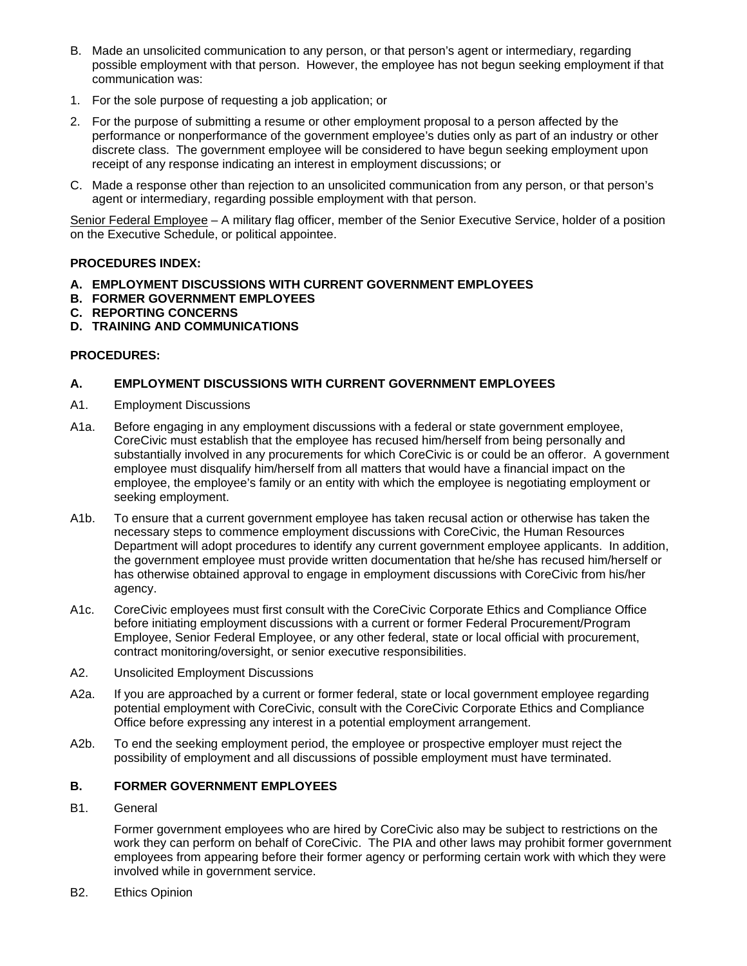- B. Made an unsolicited communication to any person, or that person's agent or intermediary, regarding possible employment with that person. However, the employee has not begun seeking employment if that communication was:
- 1. For the sole purpose of requesting a job application; or
- 2. For the purpose of submitting a resume or other employment proposal to a person affected by the performance or nonperformance of the government employee's duties only as part of an industry or other discrete class. The government employee will be considered to have begun seeking employment upon receipt of any response indicating an interest in employment discussions; or
- C. Made a response other than rejection to an unsolicited communication from any person, or that person's agent or intermediary, regarding possible employment with that person.

Senior Federal Employee – A military flag officer, member of the Senior Executive Service, holder of a position on the Executive Schedule, or political appointee.

# **PROCEDURES INDEX:**

- **A. EMPLOYMENT DISCUSSIONS WITH CURRENT GOVERNMENT EMPLOYEES**
- **B. FORMER GOVERNMENT EMPLOYEES**
- **C. REPORTING CONCERNS**
- **D. TRAINING AND COMMUNICATIONS**

# **PROCEDURES:**

# **A. EMPLOYMENT DISCUSSIONS WITH CURRENT GOVERNMENT EMPLOYEES**

- A1. Employment Discussions
- A1a. Before engaging in any employment discussions with a federal or state government employee, CoreCivic must establish that the employee has recused him/herself from being personally and substantially involved in any procurements for which CoreCivic is or could be an offeror. A government employee must disqualify him/herself from all matters that would have a financial impact on the employee, the employee's family or an entity with which the employee is negotiating employment or seeking employment.
- A1b. To ensure that a current government employee has taken recusal action or otherwise has taken the necessary steps to commence employment discussions with CoreCivic, the Human Resources Department will adopt procedures to identify any current government employee applicants. In addition, the government employee must provide written documentation that he/she has recused him/herself or has otherwise obtained approval to engage in employment discussions with CoreCivic from his/her agency.
- A1c. CoreCivic employees must first consult with the CoreCivic Corporate Ethics and Compliance Office before initiating employment discussions with a current or former Federal Procurement/Program Employee, Senior Federal Employee, or any other federal, state or local official with procurement, contract monitoring/oversight, or senior executive responsibilities.
- A2. Unsolicited Employment Discussions
- A2a. If you are approached by a current or former federal, state or local government employee regarding potential employment with CoreCivic, consult with the CoreCivic Corporate Ethics and Compliance Office before expressing any interest in a potential employment arrangement.
- A2b. To end the seeking employment period, the employee or prospective employer must reject the possibility of employment and all discussions of possible employment must have terminated.

### **B. FORMER GOVERNMENT EMPLOYEES**

B1. General

Former government employees who are hired by CoreCivic also may be subject to restrictions on the work they can perform on behalf of CoreCivic. The PIA and other laws may prohibit former government employees from appearing before their former agency or performing certain work with which they were involved while in government service.

B2. Ethics Opinion